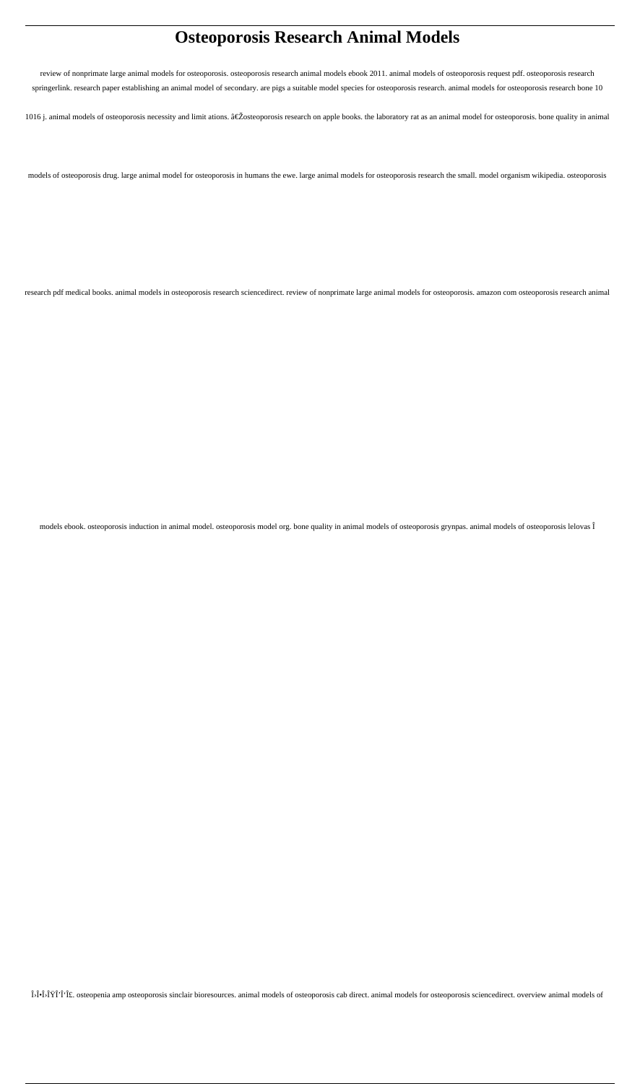# **Osteoporosis Research Animal Models**

review of nonprimate large animal models for osteoporosis. osteoporosis research animal models ebook 2011. animal models of osteoporosis request pdf. osteoporosis research springerlink. research paper establishing an animal model of secondary. are pigs a suitable model species for osteoporosis research. animal models for osteoporosis research bone 10 1016 j. animal models of osteoporosis necessity and limit ations.  $\hat{\alpha} \in \check{Z}$ osteoporosis research on apple books. the laboratory rat as an animal model for osteoporosis. bone quality in animal

models of osteoporosis drug. large animal model for osteoporosis in humans the ewe. large animal models for osteoporosis research the small. model organism wikipedia. osteoporosis

research pdf medical books. animal models in osteoporosis research sciencedirect. review of nonprimate large animal models for osteoporosis. amazon com osteoporosis research animal

models ebook. osteoporosis induction in animal model. osteoporosis model org. bone quality in animal models of osteoporosis grynpas. animal models of osteoporosis lelovas Î

ΛΕΛΟΒΑΣ. osteopenia amp osteoporosis sinclair bioresources. animal models of osteoporosis cab direct. animal models for osteoporosis sciencedirect. overview animal models of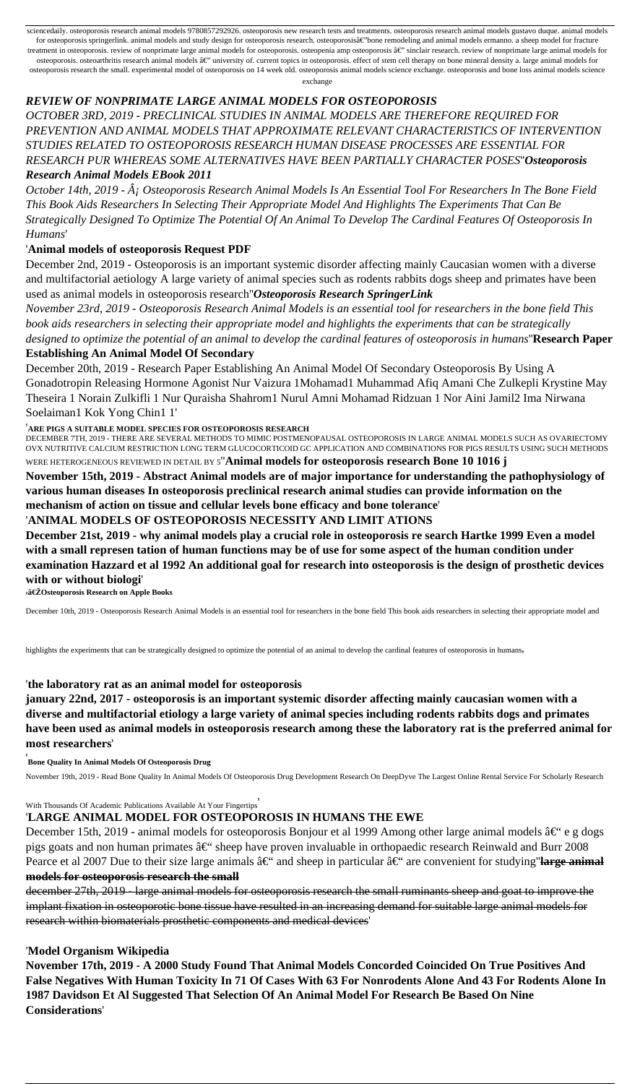sciencedaily. osteoporosis research animal models 9780857292926. osteoporosis new research tests and treatments. osteoporosis research animal models gustavo duque. animal models for osteoporosis springerlink. animal models and study design for osteoporosis research. osteoporosisâ€"bone remodeling and animal models ermanno. a sheep model for fracture treatment in osteoporosis. review of nonprimate large animal models for osteoporosis. osteopenia amp osteoporosis â€" sinclair research. review of nonprimate large animal models for osteoporosis. osteoarthritis research animal models â€" university of. current topics in osteoporosis. effect of stem cell therapy on bone mineral density a. large animal models for osteoporosis research the small. experimental model of osteoporosis on 14 week old. osteoporosis animal models science exchange. osteoporosis and bone loss animal models science

*October 14th, 2019 -*  $\hat{A}$ *; Osteoporosis Research Animal Models Is An Essential Tool For Researchers In The Bone Field This Book Aids Researchers In Selecting Their Appropriate Model And Highlights The Experiments That Can Be Strategically Designed To Optimize The Potential Of An Animal To Develop The Cardinal Features Of Osteoporosis In Humans*'

exchange

#### *REVIEW OF NONPRIMATE LARGE ANIMAL MODELS FOR OSTEOPOROSIS*

*OCTOBER 3RD, 2019 - PRECLINICAL STUDIES IN ANIMAL MODELS ARE THEREFORE REQUIRED FOR PREVENTION AND ANIMAL MODELS THAT APPROXIMATE RELEVANT CHARACTERISTICS OF INTERVENTION STUDIES RELATED TO OSTEOPOROSIS RESEARCH HUMAN DISEASE PROCESSES ARE ESSENTIAL FOR RESEARCH PUR WHEREAS SOME ALTERNATIVES HAVE BEEN PARTIALLY CHARACTER POSES*''*Osteoporosis Research Animal Models EBook 2011*

#### '**Animal models of osteoporosis Request PDF**

December 2nd, 2019 - Osteoporosis is an important systemic disorder affecting mainly Caucasian women with a diverse and multifactorial aetiology A large variety of animal species such as rodents rabbits dogs sheep and primates have been used as animal models in osteoporosis research''*Osteoporosis Research SpringerLink*

*November 23rd, 2019 - Osteoporosis Research Animal Models is an essential tool for researchers in the bone field This book aids researchers in selecting their appropriate model and highlights the experiments that can be strategically designed to optimize the potential of an animal to develop the cardinal features of osteoporosis in humans*''**Research Paper**

#### **Establishing An Animal Model Of Secondary**

December 20th, 2019 - Research Paper Establishing An Animal Model Of Secondary Osteoporosis By Using A Gonadotropin Releasing Hormone Agonist Nur Vaizura 1Mohamad1 Muhammad Afiq Amani Che Zulkepli Krystine May Theseira 1 Norain Zulkifli 1 Nur Quraisha Shahrom1 Nurul Amni Mohamad Ridzuan 1 Nor Aini Jamil2 Ima Nirwana Soelaiman1 Kok Yong Chin1 1'

December 15th, 2019 - animal models for osteoporosis Bonjour et al 1999 Among other large animal models  $\hat{a}\in\hat{e}$  e g dogs pigs goats and non human primates  $\hat{a} \in \hat{B}$  sheep have proven invaluable in orthopaedic research Reinwald and Burr 2008 Pearce et al 2007 Due to their size large animals  $\hat{a} \in \hat{a}$  and sheep in particular  $\hat{a} \in \hat{a}$  are convenient for studying large animal **models for osteoporosis research the small**

'**ARE PIGS A SUITABLE MODEL SPECIES FOR OSTEOPOROSIS RESEARCH**

DECEMBER 7TH, 2019 - THERE ARE SEVERAL METHODS TO MIMIC POSTMENOPAUSAL OSTEOPOROSIS IN LARGE ANIMAL MODELS SUCH AS OVARIECTOMY OVX NUTRITIVE CALCIUM RESTRICTION LONG TERM GLUCOCORTICOID GC APPLICATION AND COMBINATIONS FOR PIGS RESULTS USING SUCH METHODS WERE HETEROGENEOUS REVIEWED IN DETAIL BY 5''**Animal models for osteoporosis research Bone 10 1016 j**

**November 15th, 2019 - Abstract Animal models are of major importance for understanding the pathophysiology of various human diseases In osteoporosis preclinical research animal studies can provide information on the mechanism of action on tissue and cellular levels bone efficacy and bone tolerance**'

#### '**ANIMAL MODELS OF OSTEOPOROSIS NECESSITY AND LIMIT ATIONS**

**December 21st, 2019 - why animal models play a crucial role in osteoporosis re search Hartke 1999 Even a model with a small represen tation of human functions may be of use for some aspect of the human condition under examination Hazzard et al 1992 An additional goal for research into osteoporosis is the design of prosthetic devices with or without biologi**'

'**‎Osteoporosis Research on Apple Books**

December 10th, 2019 - Osteoporosis Research Animal Models is an essential tool for researchers in the bone field This book aids researchers in selecting their appropriate model and

highlights the experiments that can be strategically designed to optimize the potential of an animal to develop the cardinal features of osteoporosis in humans,

#### '**the laboratory rat as an animal model for osteoporosis**

**january 22nd, 2017 - osteoporosis is an important systemic disorder affecting mainly caucasian women with a diverse and multifactorial etiology a large variety of animal species including rodents rabbits dogs and primates have been used as animal models in osteoporosis research among these the laboratory rat is the preferred animal for most researchers**'

'**Bone Quality In Animal Models Of Osteoporosis Drug**

November 19th, 2019 - Read Bone Quality In Animal Models Of Osteoporosis Drug Development Research On DeepDyve The Largest Online Rental Service For Scholarly Research

'**LARGE ANIMAL MODEL FOR OSTEOPOROSIS IN HUMANS THE EWE**

december 27th, 2019 - large animal models for osteoporosis research the small ruminants sheep and goat to improve the implant fixation in osteoporotic bone tissue have resulted in an increasing demand for suitable large animal models for research within biomaterials prosthetic components and medical devices'

#### '**Model Organism Wikipedia**

**November 17th, 2019 - A 2000 Study Found That Animal Models Concorded Coincided On True Positives And False Negatives With Human Toxicity In 71 Of Cases With 63 For Nonrodents Alone And 43 For Rodents Alone In 1987 Davidson Et Al Suggested That Selection Of An Animal Model For Research Be Based On Nine Considerations**'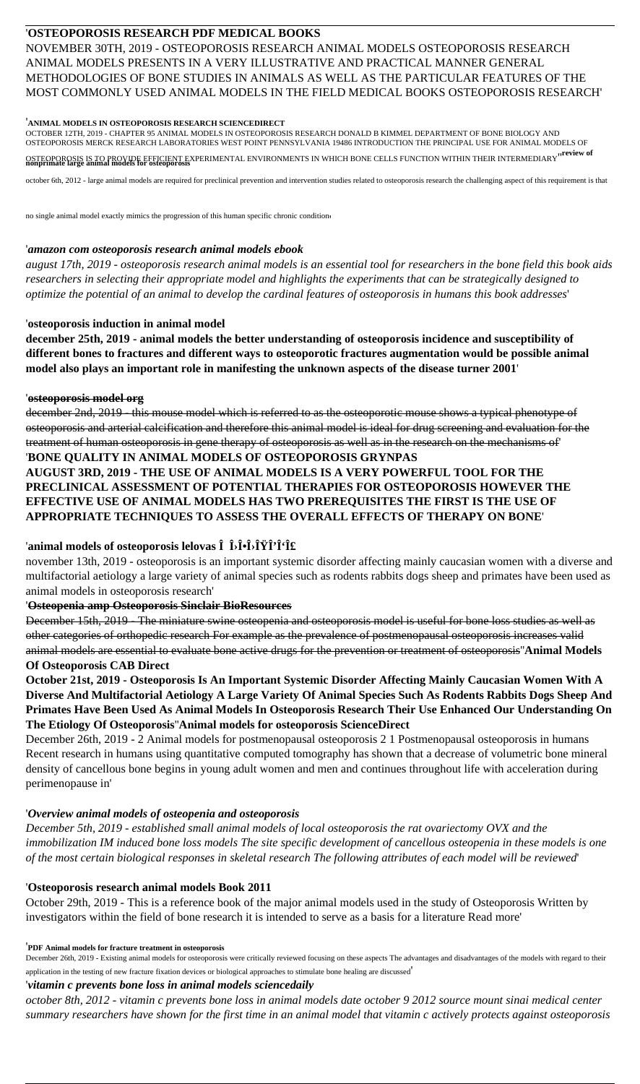## '**OSTEOPOROSIS RESEARCH PDF MEDICAL BOOKS**

NOVEMBER 30TH, 2019 - OSTEOPOROSIS RESEARCH ANIMAL MODELS OSTEOPOROSIS RESEARCH ANIMAL MODELS PRESENTS IN A VERY ILLUSTRATIVE AND PRACTICAL MANNER GENERAL METHODOLOGIES OF BONE STUDIES IN ANIMALS AS WELL AS THE PARTICULAR FEATURES OF THE MOST COMMONLY USED ANIMAL MODELS IN THE FIELD MEDICAL BOOKS OSTEOPOROSIS RESEARCH'

#### '**ANIMAL MODELS IN OSTEOPOROSIS RESEARCH SCIENCEDIRECT**

OCTOBER 12TH, 2019 - CHAPTER 95 ANIMAL MODELS IN OSTEOPOROSIS RESEARCH DONALD B KIMMEL DEPARTMENT OF BONE BIOLOGY AND OSTEOPOROSIS MERCK RESEARCH LABORATORIES WEST POINT PENNSYLVANIA 19486 INTRODUCTION THE PRINCIPAL USE FOR ANIMAL MODELS OF

OSTEOPOROSIS IS TO PROVIDE EFFICIENT EXPERIMENTAL ENVIRONMENTS IN WHICH BONE CELLS FUNCTION WITHIN THEIR INTERMEDIARY''**review of nonprimate large animal models for osteoporosis**

october 6th, 2012 - large animal models are required for preclinical prevention and intervention studies related to osteoporosis research the challenging aspect of this requirement is that

no single animal model exactly mimics the progression of this human specific chronic condition'

#### '*amazon com osteoporosis research animal models ebook*

*august 17th, 2019 - osteoporosis research animal models is an essential tool for researchers in the bone field this book aids researchers in selecting their appropriate model and highlights the experiments that can be strategically designed to optimize the potential of an animal to develop the cardinal features of osteoporosis in humans this book addresses*'

#### '**osteoporosis induction in animal model**

**december 25th, 2019 - animal models the better understanding of osteoporosis incidence and susceptibility of different bones to fractures and different ways to osteoporotic fractures augmentation would be possible animal model also plays an important role in manifesting the unknown aspects of the disease turner 2001**'

#### '**osteoporosis model org**

december 2nd, 2019 - this mouse model which is referred to as the osteoporotic mouse shows a typical phenotype of osteoporosis and arterial calcification and therefore this animal model is ideal for drug screening and evaluation for the treatment of human osteoporosis in gene therapy of osteoporosis as well as in the research on the mechanisms of' '**BONE QUALITY IN ANIMAL MODELS OF OSTEOPOROSIS GRYNPAS AUGUST 3RD, 2019 - THE USE OF ANIMAL MODELS IS A VERY POWERFUL TOOL FOR THE**

# **PRECLINICAL ASSESSMENT OF POTENTIAL THERAPIES FOR OSTEOPOROSIS HOWEVER THE EFFECTIVE USE OF ANIMAL MODELS HAS TWO PREREQUISITES THE FIRST IS THE USE OF APPROPRIATE TECHNIQUES TO ASSESS THE OVERALL EFFECTS OF THERAPY ON BONE**'

## 'animal models of osteoporosis lelovas  $\hat{\mathbf{I}}$  *b* $\hat{\mathbf{I}}$   $\cdot \hat{\mathbf{I}}$ *i* $\cdot \hat{\mathbf{I}}$ *i* $\cdot \hat{\mathbf{I}}$ *i* $\cdot \hat{\mathbf{I}}$ *if*

november 13th, 2019 - osteoporosis is an important systemic disorder affecting mainly caucasian women with a diverse and multifactorial aetiology a large variety of animal species such as rodents rabbits dogs sheep and primates have been used as animal models in osteoporosis research'

#### '**Osteopenia amp Osteoporosis Sinclair BioResources**

December 15th, 2019 - The miniature swine osteopenia and osteoporosis model is useful for bone loss studies as well as other categories of orthopedic research For example as the prevalence of postmenopausal osteoporosis increases valid animal models are essential to evaluate bone active drugs for the prevention or treatment of osteoporosis''**Animal Models Of Osteoporosis CAB Direct**

**October 21st, 2019 - Osteoporosis Is An Important Systemic Disorder Affecting Mainly Caucasian Women With A Diverse And Multifactorial Aetiology A Large Variety Of Animal Species Such As Rodents Rabbits Dogs Sheep And Primates Have Been Used As Animal Models In Osteoporosis Research Their Use Enhanced Our Understanding On The Etiology Of Osteoporosis**''**Animal models for osteoporosis ScienceDirect**

December 26th, 2019 - 2 Animal models for postmenopausal osteoporosis 2 1 Postmenopausal osteoporosis in humans Recent research in humans using quantitative computed tomography has shown that a decrease of volumetric bone mineral density of cancellous bone begins in young adult women and men and continues throughout life with acceleration during perimenopause in'

## '*Overview animal models of osteopenia and osteoporosis*

*December 5th, 2019 - established small animal models of local osteoporosis the rat ovariectomy OVX and the immobilization IM induced bone loss models The site specific development of cancellous osteopenia in these models is one of the most certain biological responses in skeletal research The following attributes of each model will be reviewed*'

### '**Osteoporosis research animal models Book 2011**

October 29th, 2019 - This is a reference book of the major animal models used in the study of Osteoporosis Written by investigators within the field of bone research it is intended to serve as a basis for a literature Read more'

#### '**PDF Animal models for fracture treatment in osteoporosis**

December 26th, 2019 - Existing animal models for osteoporosis were critically reviewed focusing on these aspects The advantages and disadvantages of the models with regard to their application in the testing of new fracture fixation devices or biological approaches to stimulate bone healing are discussed'

#### '*vitamin c prevents bone loss in animal models sciencedaily*

*october 8th, 2012 - vitamin c prevents bone loss in animal models date october 9 2012 source mount sinai medical center summary researchers have shown for the first time in an animal model that vitamin c actively protects against osteoporosis*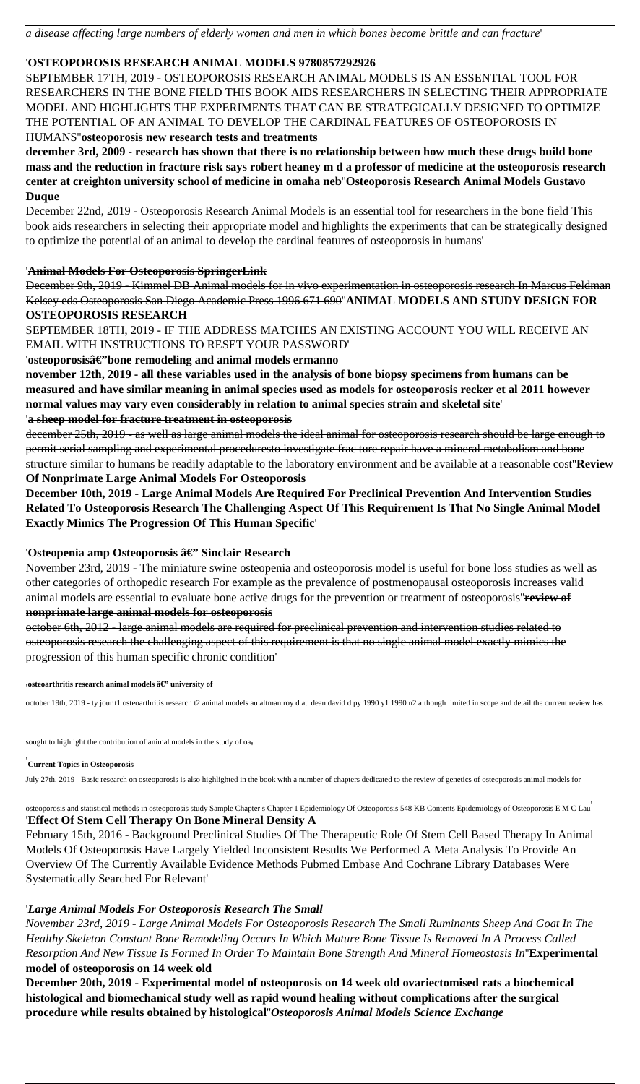### '**OSTEOPOROSIS RESEARCH ANIMAL MODELS 9780857292926**

SEPTEMBER 17TH, 2019 - OSTEOPOROSIS RESEARCH ANIMAL MODELS IS AN ESSENTIAL TOOL FOR RESEARCHERS IN THE BONE FIELD THIS BOOK AIDS RESEARCHERS IN SELECTING THEIR APPROPRIATE MODEL AND HIGHLIGHTS THE EXPERIMENTS THAT CAN BE STRATEGICALLY DESIGNED TO OPTIMIZE THE POTENTIAL OF AN ANIMAL TO DEVELOP THE CARDINAL FEATURES OF OSTEOPOROSIS IN HUMANS''**osteoporosis new research tests and treatments**

**december 3rd, 2009 - research has shown that there is no relationship between how much these drugs build bone mass and the reduction in fracture risk says robert heaney m d a professor of medicine at the osteoporosis research center at creighton university school of medicine in omaha neb**''**Osteoporosis Research Animal Models Gustavo Duque**

December 22nd, 2019 - Osteoporosis Research Animal Models is an essential tool for researchers in the bone field This book aids researchers in selecting their appropriate model and highlights the experiments that can be strategically designed to optimize the potential of an animal to develop the cardinal features of osteoporosis in humans'

#### '**Animal Models For Osteoporosis SpringerLink**

December 9th, 2019 - Kimmel DB Animal models for in vivo experimentation in osteoporosis research In Marcus Feldman Kelsey eds Osteoporosis San Diego Academic Press 1996 671 690''**ANIMAL MODELS AND STUDY DESIGN FOR OSTEOPOROSIS RESEARCH**

SEPTEMBER 18TH, 2019 - IF THE ADDRESS MATCHES AN EXISTING ACCOUNT YOU WILL RECEIVE AN EMAIL WITH INSTRUCTIONS TO RESET YOUR PASSWORD'

#### 'osteoporosisâ€"bone remodeling and animal models ermanno

**november 12th, 2019 - all these variables used in the analysis of bone biopsy specimens from humans can be measured and have similar meaning in animal species used as models for osteoporosis recker et al 2011 however normal values may vary even considerably in relation to animal species strain and skeletal site**'

#### '**a sheep model for fracture treatment in osteoporosis**

december 25th, 2019 - as well as large animal models the ideal animal for osteoporosis research should be large enough to permit serial sampling and experimental proceduresto investigate frac ture repair have a mineral metabolism and bone structure similar to humans be readily adaptable to the laboratory environment and be available at a reasonable cost''**Review Of Nonprimate Large Animal Models For Osteoporosis**

**December 10th, 2019 - Large Animal Models Are Required For Preclinical Prevention And Intervention Studies Related To Osteoporosis Research The Challenging Aspect Of This Requirement Is That No Single Animal Model Exactly Mimics The Progression Of This Human Specific**'

#### 'Osteopenia amp Osteoporosis â€" Sinclair Research

November 23rd, 2019 - The miniature swine osteopenia and osteoporosis model is useful for bone loss studies as well as other categories of orthopedic research For example as the prevalence of postmenopausal osteoporosis increases valid animal models are essential to evaluate bone active drugs for the prevention or treatment of osteoporosis''**review of nonprimate large animal models for osteoporosis**

october 6th, 2012 - large animal models are required for preclinical prevention and intervention studies related to osteoporosis research the challenging aspect of this requirement is that no single animal model exactly mimics the progression of this human specific chronic condition'

*∖***osteoarthritis research animal models — university of** 

october 19th, 2019 - ty jour t1 osteoarthritis research t2 animal models au altman roy d au dean david d py 1990 y1 1990 n2 although limited in scope and detail the current review has

sought to highlight the contribution of animal models in the study of oa'

#### '**Current Topics in Osteoporosis**

July 27th, 2019 - Basic research on osteoporosis is also highlighted in the book with a number of chapters dedicated to the review of genetics of osteoporosis animal models for

osteoporosis and statistical methods in osteoporosis study Sample Chapter s Chapter 1 Epidemiology Of Osteoporosis 548 KB Contents Epidemiology of Osteoporosis E M C Lau'

#### '**Effect Of Stem Cell Therapy On Bone Mineral Density A**

February 15th, 2016 - Background Preclinical Studies Of The Therapeutic Role Of Stem Cell Based Therapy In Animal Models Of Osteoporosis Have Largely Yielded Inconsistent Results We Performed A Meta Analysis To Provide An Overview Of The Currently Available Evidence Methods Pubmed Embase And Cochrane Library Databases Were Systematically Searched For Relevant'

#### '*Large Animal Models For Osteoporosis Research The Small*

*November 23rd, 2019 - Large Animal Models For Osteoporosis Research The Small Ruminants Sheep And Goat In The Healthy Skeleton Constant Bone Remodeling Occurs In Which Mature Bone Tissue Is Removed In A Process Called Resorption And New Tissue Is Formed In Order To Maintain Bone Strength And Mineral Homeostasis In*''**Experimental model of osteoporosis on 14 week old**

**December 20th, 2019 - Experimental model of osteoporosis on 14 week old ovariectomised rats a biochemical histological and biomechanical study well as rapid wound healing without complications after the surgical procedure while results obtained by histological**''*Osteoporosis Animal Models Science Exchange*